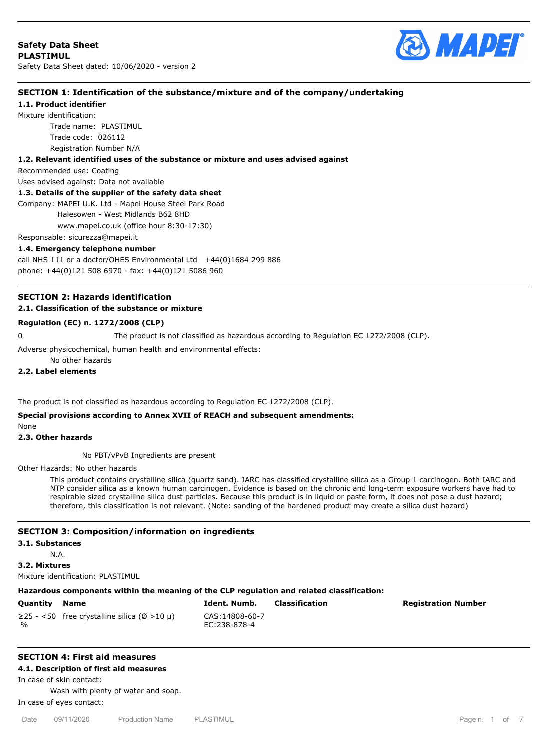

## **SECTION 1: Identification of the substance/mixture and of the company/undertaking**

## **1.1. Product identifier**

Mixture identification: Trade name: PLASTIMUL

Trade code: 026112

Registration Number N/A

**1.2. Relevant identified uses of the substance or mixture and uses advised against**

Recommended use: Coating

Uses advised against: Data not available

## **1.3. Details of the supplier of the safety data sheet**

Company: MAPEI U.K. Ltd - Mapei House Steel Park Road

Halesowen - West Midlands B62 8HD

www.mapei.co.uk (office hour 8:30-17:30)

Responsable: sicurezza@mapei.it

#### **1.4. Emergency telephone number**

call NHS 111 or a doctor/OHES Environmental Ltd  $+44(0)1684$  299 886 phone: +44(0)121 508 6970 - fax: +44(0)121 5086 960

## **SECTION 2: Hazards identification 2.1. Classification of the substance or mixture**

## **Regulation (EC) n. 1272/2008 (CLP)**

0 The product is not classified as hazardous according to Regulation EC 1272/2008 (CLP).

Adverse physicochemical, human health and environmental effects:

# No other hazards

## **2.2. Label elements**

The product is not classified as hazardous according to Regulation EC 1272/2008 (CLP).

## **Special provisions according to Annex XVII of REACH and subsequent amendments:**

None

#### **2.3. Other hazards**

No PBT/vPvB Ingredients are present

Other Hazards: No other hazards

This product contains crystalline silica (quartz sand). IARC has classified crystalline silica as a Group 1 carcinogen. Both IARC and NTP consider silica as a known human carcinogen. Evidence is based on the chronic and long-term exposure workers have had to respirable sized crystalline silica dust particles. Because this product is in liquid or paste form, it does not pose a dust hazard; therefore, this classification is not relevant. (Note: sanding of the hardened product may create a silica dust hazard)

#### **SECTION 3: Composition/information on ingredients**

#### **3.1. Substances**

N.A.

**3.2. Mixtures**

Mixture identification: PLASTIMUL

#### **Hazardous components within the meaning of the CLP regulation and related classification:**

| Quantity Name |                                                   |  |  |  |  |  |  |
|---------------|---------------------------------------------------|--|--|--|--|--|--|
|               | $\geq$ 25 - <50 free crystalline silica (Ø >10 µ) |  |  |  |  |  |  |
| $\frac{1}{2}$ |                                                   |  |  |  |  |  |  |

CAS:14808-60-7 EC:238-878-4

**Quantity Name Ident. Numb. Classification Registration Number**

# **SECTION 4: First aid measures**

**4.1. Description of first aid measures**

In case of skin contact:

Wash with plenty of water and soap. In case of eyes contact: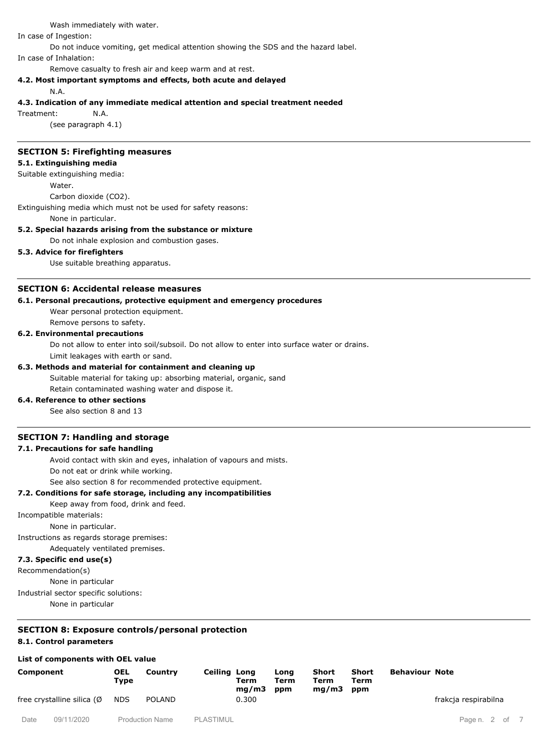Wash immediately with water.

In case of Ingestion:

Do not induce vomiting, get medical attention showing the SDS and the hazard label.

In case of Inhalation:

Remove casualty to fresh air and keep warm and at rest.

#### **4.2. Most important symptoms and effects, both acute and delayed**

N.A.

#### **4.3. Indication of any immediate medical attention and special treatment needed**

Treatment: N.A.

(see paragraph 4.1)

#### **SECTION 5: Firefighting measures**

## **5.1. Extinguishing media**

Suitable extinguishing media:

Water.

Carbon dioxide (CO2).

Extinguishing media which must not be used for safety reasons:

None in particular.

#### **5.2. Special hazards arising from the substance or mixture**

Do not inhale explosion and combustion gases.

## **5.3. Advice for firefighters**

Use suitable breathing apparatus.

## **SECTION 6: Accidental release measures**

#### **6.1. Personal precautions, protective equipment and emergency procedures**

Wear personal protection equipment.

Remove persons to safety.

## **6.2. Environmental precautions**

Do not allow to enter into soil/subsoil. Do not allow to enter into surface water or drains.

Limit leakages with earth or sand.

## **6.3. Methods and material for containment and cleaning up**

Suitable material for taking up: absorbing material, organic, sand Retain contaminated washing water and dispose it.

#### **6.4. Reference to other sections**

See also section 8 and 13

## **SECTION 7: Handling and storage**

## **7.1. Precautions for safe handling**

Avoid contact with skin and eyes, inhalation of vapours and mists.

Do not eat or drink while working.

See also section 8 for recommended protective equipment.

#### **7.2. Conditions for safe storage, including any incompatibilities**

Keep away from food, drink and feed.

Incompatible materials:

None in particular.

Instructions as regards storage premises:

Adequately ventilated premises.

## **7.3. Specific end use(s)**

Recommendation(s)

None in particular

Industrial sector specific solutions:

None in particular

# **SECTION 8: Exposure controls/personal protection**

## **8.1. Control parameters**

#### **List of components with OEL value**

| Component                  |            | <b>OEL</b><br>Type | Country                | Ceiling Long | Term<br>mq/m3 | Long<br>Term<br>ppm | Short<br>Term<br>mq/m3 | Short<br>Term<br>ppm | <b>Behaviour Note</b> |                   |  |
|----------------------------|------------|--------------------|------------------------|--------------|---------------|---------------------|------------------------|----------------------|-----------------------|-------------------|--|
| free crystalline silica (Ø |            | <b>NDS</b>         | <b>POLAND</b>          | 0.300        |               |                     |                        |                      | frakcja respirabilna  |                   |  |
| Date                       | 09/11/2020 |                    | <b>Production Name</b> | PLASTIMUL    |               |                     |                        |                      |                       | of 7<br>Page n. 2 |  |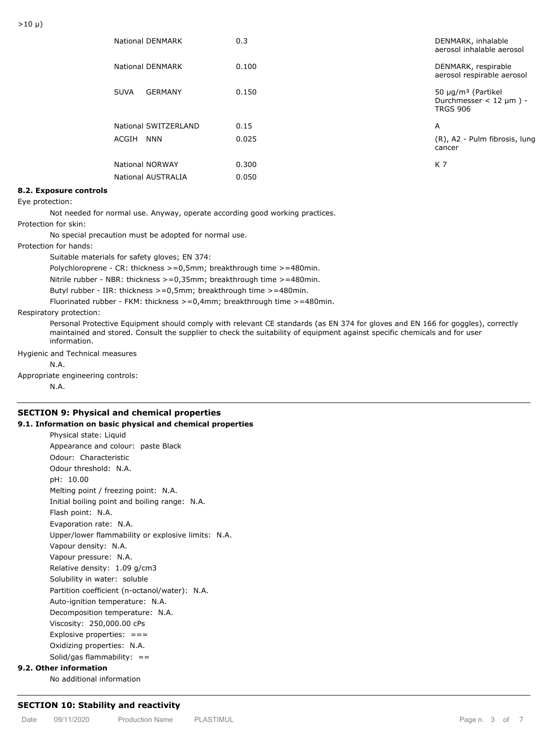| National DENMARK       | 0.3   | DENMARK, inhalable<br>aerosol inhalable aerosol                                            |
|------------------------|-------|--------------------------------------------------------------------------------------------|
| National DENMARK       | 0.100 | DENMARK, respirable<br>aerosol respirable aerosol                                          |
| GERMANY<br><b>SUVA</b> | 0.150 | 50 $\mu$ g/m <sup>3</sup> (Partikel<br>Durchmesser $<$ 12 $\mu$ m $)$ -<br><b>TRGS 906</b> |
| National SWITZERLAND   | 0.15  | A                                                                                          |
| ACGIH<br>NNN           | 0.025 | (R), A2 - Pulm fibrosis, lung<br>cancer                                                    |
| National NORWAY        | 0.300 | K 7                                                                                        |
| National AUSTRALIA     | 0.050 |                                                                                            |
|                        |       |                                                                                            |

## **8.2. Exposure controls**

Eye protection:

Not needed for normal use. Anyway, operate according good working practices.

Protection for skin:

No special precaution must be adopted for normal use.

Protection for hands:

Suitable materials for safety gloves; EN 374:

Polychloroprene - CR: thickness >=0,5mm; breakthrough time >=480min.

Nitrile rubber - NBR: thickness >=0,35mm; breakthrough time >=480min.

Butyl rubber - IIR: thickness >=0,5mm; breakthrough time >=480min.

Fluorinated rubber - FKM: thickness >=0,4mm; breakthrough time >=480min.

#### Respiratory protection:

Personal Protective Equipment should comply with relevant CE standards (as EN 374 for gloves and EN 166 for goggles), correctly maintained and stored. Consult the supplier to check the suitability of equipment against specific chemicals and for user information.

Hygienic and Technical measures

N.A.

Appropriate engineering controls:

N.A.

## **SECTION 9: Physical and chemical properties**

## **9.1. Information on basic physical and chemical properties**

Physical state: Liquid Appearance and colour: paste Black Odour: Characteristic Odour threshold: N.A. pH: 10.00 Melting point / freezing point: N.A. Initial boiling point and boiling range: N.A. Flash point: N.A. Evaporation rate: N.A. Upper/lower flammability or explosive limits: N.A. Vapour density: N.A. Vapour pressure: N.A. Relative density: 1.09 g/cm3 Solubility in water: soluble Partition coefficient (n-octanol/water): N.A. Auto-ignition temperature: N.A. Decomposition temperature: N.A. Viscosity: 250,000.00 cPs Explosive properties:  $==$ Oxidizing properties: N.A. Solid/gas flammability: ==

#### **9.2. Other information**

No additional information

#### **SECTION 10: Stability and reactivity**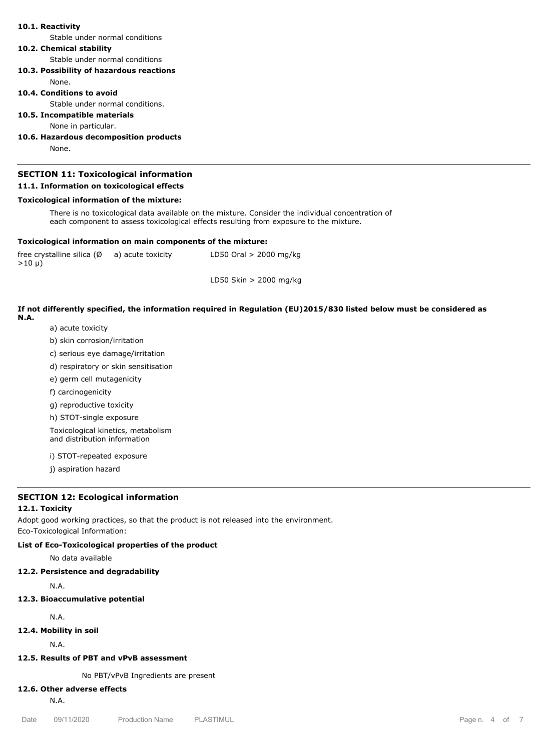#### **10.1. Reactivity**

Stable under normal conditions

#### **10.2. Chemical stability**

Stable under normal conditions

**10.3. Possibility of hazardous reactions**

None.

## **10.4. Conditions to avoid**

Stable under normal conditions.

## **10.5. Incompatible materials**

None in particular.

## **10.6. Hazardous decomposition products**

None.

## **SECTION 11: Toxicological information 11.1. Information on toxicological effects**

# **Toxicological information of the mixture:**

There is no toxicological data available on the mixture. Consider the individual concentration of each component to assess toxicological effects resulting from exposure to the mixture.

#### **Toxicological information on main components of the mixture:**

free crystalline silica  $(\emptyset$  a) acute toxicity  $>10 \mu$ ) LD50 Oral  $> 2000$  mg/kg

LD50 Skin > 2000 mg/kg

#### **If not differently specified, the information required in Regulation (EU)2015/830 listed below must be considered as N.A.**

- a) acute toxicity
- b) skin corrosion/irritation
- c) serious eye damage/irritation
- d) respiratory or skin sensitisation
- e) germ cell mutagenicity
- f) carcinogenicity
- g) reproductive toxicity
- h) STOT-single exposure

Toxicological kinetics, metabolism and distribution information

- i) STOT-repeated exposure
- j) aspiration hazard

## **SECTION 12: Ecological information**

#### **12.1. Toxicity**

Adopt good working practices, so that the product is not released into the environment. Eco-Toxicological Information:

#### **List of Eco-Toxicological properties of the product**

No data available

#### **12.2. Persistence and degradability**

N.A.

#### **12.3. Bioaccumulative potential**

N.A.

**12.4. Mobility in soil**

N.A.

## **12.5. Results of PBT and vPvB assessment**

No PBT/vPvB Ingredients are present

# **12.6. Other adverse effects**

N.A.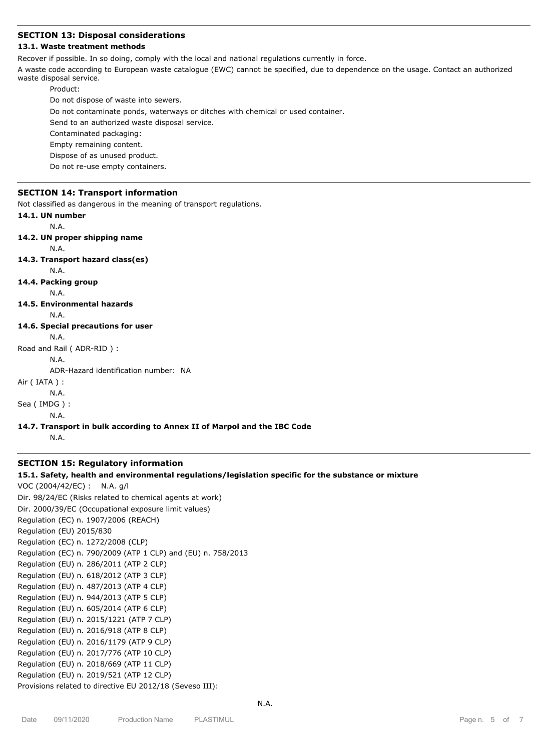## **SECTION 13: Disposal considerations**

## **13.1. Waste treatment methods**

Recover if possible. In so doing, comply with the local and national regulations currently in force.

A waste code according to European waste catalogue (EWC) cannot be specified, due to dependence on the usage. Contact an authorized waste disposal service.

Product:

Do not dispose of waste into sewers.

Do not contaminate ponds, waterways or ditches with chemical or used container.

Send to an authorized waste disposal service.

Contaminated packaging:

Empty remaining content.

Dispose of as unused product.

Do not re-use empty containers.

#### **SECTION 14: Transport information**

Not classified as dangerous in the meaning of transport regulations.

**14.1. UN number**

N.A.

```
14.2. UN proper shipping name
```
N.A.

**14.3. Transport hazard class(es)**

N.A.

**14.4. Packing group**

N.A.

**14.5. Environmental hazards**

N.A.

## **14.6. Special precautions for user**

N.A.

Road and Rail ( ADR-RID ) :

N.A.

ADR-Hazard identification number: NA

Air ( IATA ) :

N.A.

Sea ( IMDG ) :

N.A.

#### **14.7. Transport in bulk according to Annex II of Marpol and the IBC Code**

N.A.

## **SECTION 15: Regulatory information**

#### **15.1. Safety, health and environmental regulations/legislation specific for the substance or mixture**

VOC (2004/42/EC) : N.A. g/l Dir. 98/24/EC (Risks related to chemical agents at work) Dir. 2000/39/EC (Occupational exposure limit values) Regulation (EC) n. 1907/2006 (REACH) Regulation (EU) 2015/830 Regulation (EC) n. 1272/2008 (CLP) Regulation (EC) n. 790/2009 (ATP 1 CLP) and (EU) n. 758/2013 Regulation (EU) n. 286/2011 (ATP 2 CLP) Regulation (EU) n. 618/2012 (ATP 3 CLP) Regulation (EU) n. 487/2013 (ATP 4 CLP) Regulation (EU) n. 944/2013 (ATP 5 CLP) Regulation (EU) n. 605/2014 (ATP 6 CLP) Regulation (EU) n. 2015/1221 (ATP 7 CLP) Regulation (EU) n. 2016/918 (ATP 8 CLP) Regulation (EU) n. 2016/1179 (ATP 9 CLP) Regulation (EU) n. 2017/776 (ATP 10 CLP) Regulation (EU) n. 2018/669 (ATP 11 CLP) Regulation (EU) n. 2019/521 (ATP 12 CLP) Provisions related to directive EU 2012/18 (Seveso III):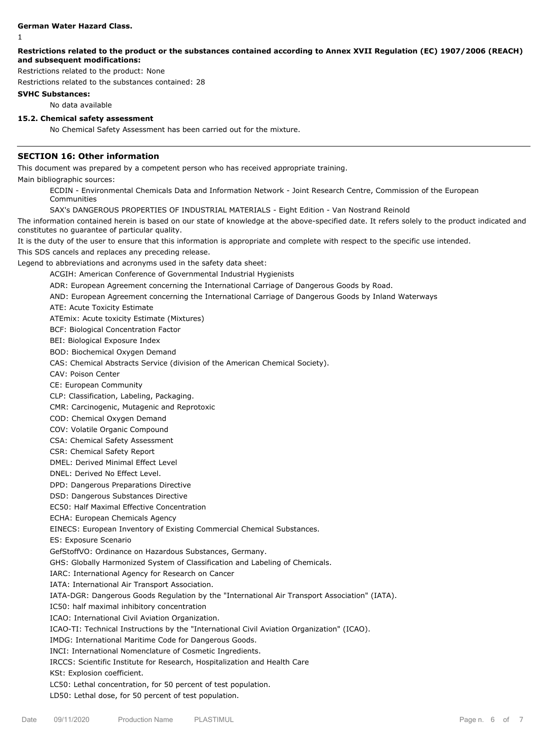#### **German Water Hazard Class.**

1

## **Restrictions related to the product or the substances contained according to Annex XVII Regulation (EC) 1907/2006 (REACH) and subsequent modifications:**

Restrictions related to the product: None

Restrictions related to the substances contained: 28

## **SVHC Substances:**

No data available

# **15.2. Chemical safety assessment**

No Chemical Safety Assessment has been carried out for the mixture.

# **SECTION 16: Other information**

This document was prepared by a competent person who has received appropriate training.

Main bibliographic sources:

ECDIN - Environmental Chemicals Data and Information Network - Joint Research Centre, Commission of the European Communities

SAX's DANGEROUS PROPERTIES OF INDUSTRIAL MATERIALS - Eight Edition - Van Nostrand Reinold

The information contained herein is based on our state of knowledge at the above-specified date. It refers solely to the product indicated and constitutes no guarantee of particular quality.

It is the duty of the user to ensure that this information is appropriate and complete with respect to the specific use intended.

This SDS cancels and replaces any preceding release.

Legend to abbreviations and acronyms used in the safety data sheet:

ACGIH: American Conference of Governmental Industrial Hygienists

ADR: European Agreement concerning the International Carriage of Dangerous Goods by Road.

AND: European Agreement concerning the International Carriage of Dangerous Goods by Inland Waterways

ATE: Acute Toxicity Estimate

ATEmix: Acute toxicity Estimate (Mixtures)

BCF: Biological Concentration Factor

BEI: Biological Exposure Index

BOD: Biochemical Oxygen Demand

CAS: Chemical Abstracts Service (division of the American Chemical Society).

CAV: Poison Center

CE: European Community

CLP: Classification, Labeling, Packaging.

CMR: Carcinogenic, Mutagenic and Reprotoxic

COD: Chemical Oxygen Demand

COV: Volatile Organic Compound

CSA: Chemical Safety Assessment

CSR: Chemical Safety Report

DMEL: Derived Minimal Effect Level

DNEL: Derived No Effect Level.

DPD: Dangerous Preparations Directive

DSD: Dangerous Substances Directive

EC50: Half Maximal Effective Concentration

ECHA: European Chemicals Agency

EINECS: European Inventory of Existing Commercial Chemical Substances.

ES: Exposure Scenario

GefStoffVO: Ordinance on Hazardous Substances, Germany.

GHS: Globally Harmonized System of Classification and Labeling of Chemicals.

IARC: International Agency for Research on Cancer

IATA: International Air Transport Association.

IATA-DGR: Dangerous Goods Regulation by the "International Air Transport Association" (IATA).

IC50: half maximal inhibitory concentration

ICAO: International Civil Aviation Organization.

ICAO-TI: Technical Instructions by the "International Civil Aviation Organization" (ICAO).

IMDG: International Maritime Code for Dangerous Goods.

INCI: International Nomenclature of Cosmetic Ingredients.

IRCCS: Scientific Institute for Research, Hospitalization and Health Care

KSt: Explosion coefficient.

LC50: Lethal concentration, for 50 percent of test population.

LD50: Lethal dose, for 50 percent of test population.